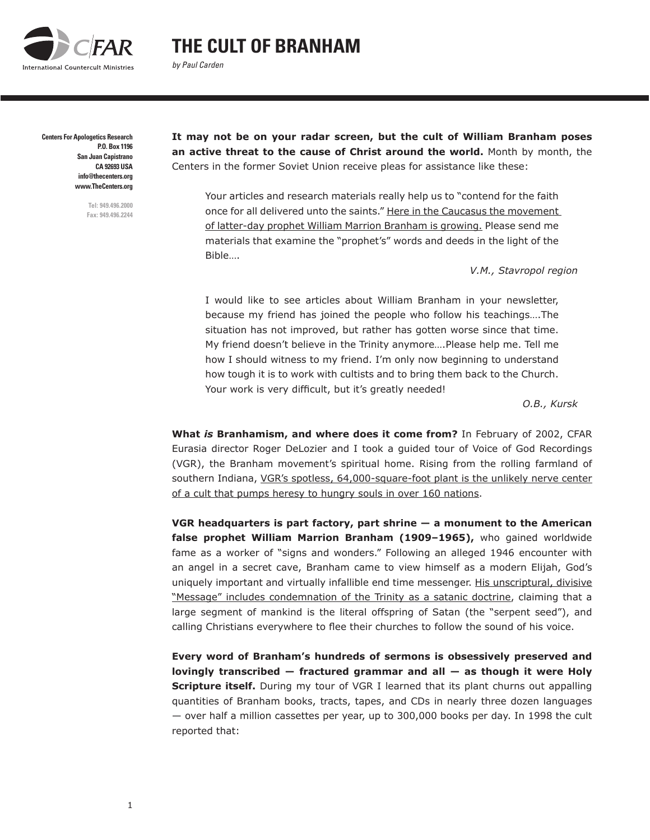

## **THE CULT OF BRANHAM**

*by Paul Carden*

**Centers For Apologetics Research**

**P.O. Box 1196 San Juan Capistrano CA 92693 USA info@thecenters.org www.TheCenters.org**

> **Tel: 949.496.2000 Fax: 949.496.2244**

**It may not be on your radar screen, but the cult of William Branham poses an active threat to the cause of Christ around the world.** Month by month, the Centers in the former Soviet Union receive pleas for assistance like these:

Your articles and research materials really help us to "contend for the faith once for all delivered unto the saints." Here in the Caucasus the movement of latter-day prophet William Marrion Branham is growing. Please send me materials that examine the "prophet's" words and deeds in the light of the Bible….

*V.M., Stavropol region*

I would like to see articles about William Branham in your newsletter, because my friend has joined the people who follow his teachings….The situation has not improved, but rather has gotten worse since that time. My friend doesn't believe in the Trinity anymore….Please help me. Tell me how I should witness to my friend. I'm only now beginning to understand how tough it is to work with cultists and to bring them back to the Church. Your work is very difficult, but it's greatly needed!

*O.B., Kursk*

**What** *is* **Branhamism, and where does it come from?** In February of 2002, CFAR Eurasia director Roger DeLozier and I took a guided tour of [Voice of God Recordings](http://branham.org) (VGR), the Branham movement's spiritual home. Rising from the rolling farmland of southern Indiana, VGR's spotless, 64,000-square-foot plant is the unlikely nerve center of a cult that pumps heresy to hungry souls in over 160 nations.

**VGR headquarters is part factory, part shrine — a monument to the American false prophet William Marrion Branham (1909–1965),** who gained worldwide fame as a worker of "signs and wonders." Following an alleged 1946 encounter with an angel in a secret cave, Branham came to view himself as a modern Elijah, God's uniquely important and virtually infallible end time messenger. His unscriptural, divisive "Message" includes condemnation of the Trinity as a satanic doctrine, claiming that a large segment of mankind is the literal offspring of Satan (the "serpent seed"), and calling Christians everywhere to flee their churches to follow the sound of his voice.

**Every word of Branham's hundreds of sermons is obsessively preserved and lovingly transcribed — fractured grammar and all — as though it were Holy Scripture itself.** During my tour of VGR I learned that its plant churns out appalling quantities of Branham books, tracts, tapes, and CDs in nearly three dozen languages — over half a million cassettes per year, up to 300,000 books per day. In 1998 the cult reported that: